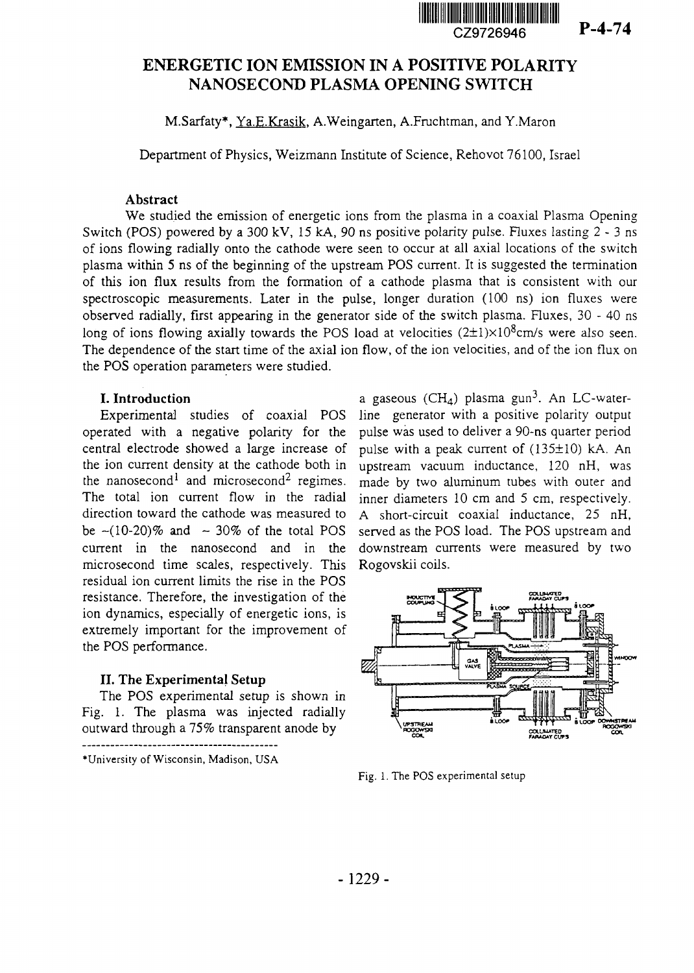

**P**-4-74

# ENERGETIC ION EMISSION IN A POSITIVE POLARITY NANOSECOND PLASMA OPENING SWITCH

M.Sarfaty\*, Ya.E.Krasik. A.Weingarten, A.Fruchtman, and Y.Maron

Department of Physics, Weizmann Institute of Science, Rehovot 76100, Israel

#### **Abstract**

We studied the emission of energetic ions from the plasma in a coaxial Plasma Opening Switch (POS) powered by a 300 kV, 15 kA, 90 ns positive polarity pulse. Fluxes lasting 2 - 3 ns of ions flowing radially onto the cathode were seen to occur at all axial locations of the switch plasma within 5 ns of the beginning of the upstream POS current. It is suggested the termination of this ion flux results from the formation of a cathode plasma that is consistent with our spectroscopic measurements. Later in the pulse, longer duration (100 ns) ion fluxes were observed radially, first appearing in the generator side of the switch plasma. Fluxes, 30 - 40 ns long of ions flowing axially towards the POS load at velocities  $(2\pm1)\times10^8$ cm/s were also seen. The dependence of the start time of the axial ion flow, of the ion velocities, and of the ion flux on the POS operation parameters were studied.

## **I. Introduction**

Experimental studies of coaxial POS operated with a negative polarity for the central electrode showed a large increase of the ion current density at the cathode both in the nanosecond<sup>1</sup> and microsecond<sup>2</sup> regimes. The total ion current flow in the radial direction toward the cathode was measured to be  $\sim (10-20)\%$  and  $\sim 30\%$  of the total POS current in the nanosecond and in the microsecond time scales, respectively. This residual ion current limits the rise in the POS resistance. Therefore, the investigation of the ion dynamics, especially of energetic ions, is extremely important for the improvement of the POS performance.

## **II.** The Experimental Setup

The POS experimental setup is shown in Fig. 1. The plasma was injected radially outward through a 75% transparent anode by

a gaseous (CH<sub>4</sub>) plasma gun<sup>3</sup>. An LC-waterline generator with a positive polarity output pulse was used to deliver a 90-ns quarter period pulse with a peak current of (135±1O) kA. An upstream vacuum inductance, 120 nH, was made by two aluminum tubes with outer and inner diameters 10 cm and 5 cm, respectively. A short-circuit coaxial inductance, 25 nH, served as the POS load. The POS upstream and downstream currents were measured by two Rogovskii coils.



Fig. 1. The POS experimental setup

<sup>•</sup>University of Wisconsin, Madison, USA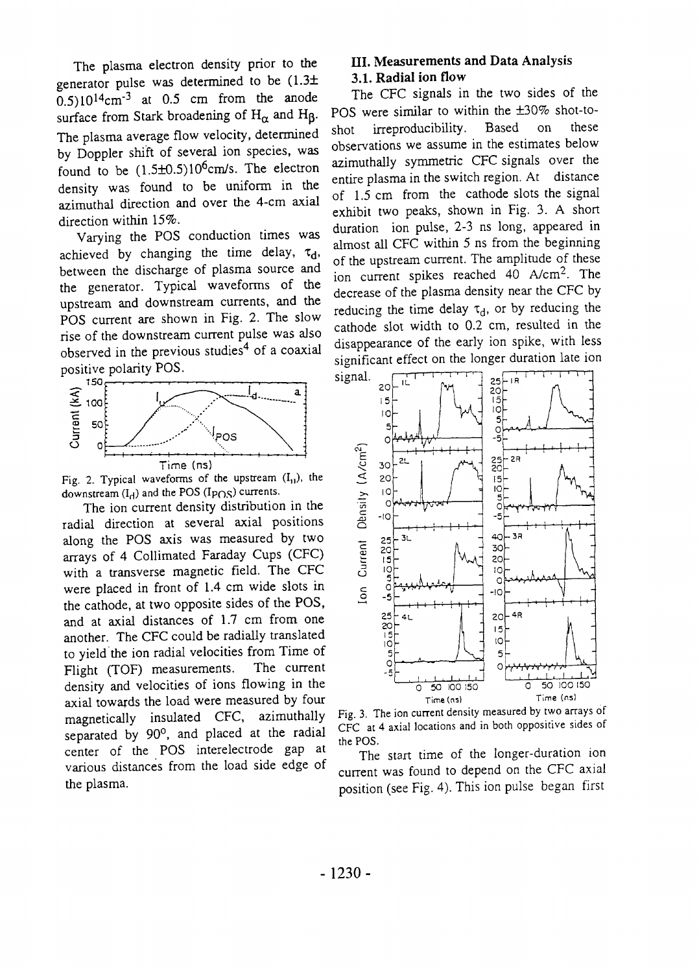The plasma electron density prior to the generator pulse was determined to be  $(1.3\pm$  $(0.5)10^{14}$ cm<sup>-3</sup> at 0.5 cm from the anode surface from Stark broadening of  $H_{\alpha}$  and  $H_{\beta}$ . The plasma average flow velocity, determined by Doppler shift of several ion species, was found to be  $(1.5\pm0.5)10^6$ cm/s. The electron density was found to be uniform in the azimuthal direction and over the 4-cm axial direction within 15%.

Varying the POS conduction times was achieved by changing the time delay,  $\tau_d$ , between the discharge of plasma source and the generator. Typical waveforms of the upstream and downstream currents, and the POS current are shown in Fig. 2. The slow rise of the downstream current pulse was also observed in the previous studies<sup>4</sup> of a coaxial positive polarity POS.



Fig. 2. Typical waveforms of the upstream  $(I_{11})$ , the downstream  $(I_d)$  and the POS (Ip $\cap$ S) currents.

The ion current density distribution in the radial direction at several axial positions along the POS axis was measured by two arrays of 4 Collimated Faraday Cups (CFC) with a transverse magnetic field. The CFC were placed in front of 1.4 cm wide slots in the cathode, at two opposite sides of the POS, and at axial distances of 1.7 cm from one another. The CFC could be radially translated to yield the ion radial velocities from Time of<br>Flight (TOF) measurements. The current Flight (TOF) measurements. density and velocities of ions flowing in the axial towards the load were measured by four magnetically insulated CFC, azimuthally separated by 90°, and placed at the radial center of the POS interelectrode gap at various distances from the load side edge of the plasma.

## **III. Measurements and Data Analysis 3.1. Radial ion flow**

The CFC signals in the two sides of the POS were similar to within the ±30% shot-toshot irreproducibility. Based on these observations we assume in the estimates below azimuthally symmetric CFC signals over the entire plasma in the switch region. At distance of 1.5 cm from the cathode slots the signal exhibit two peaks, shown in Fig. 3. A short duration ion pulse, 2-3 ns long, appeared in almost all CFC within 5 ns from the beginning of the upstream current. The amplitude of these ion current spikes reached 40 A/cm<sup>2</sup> . The decrease of the plasma density near the CFC by reducing the time delay  $\tau_d$ , or by reducing the cathode slot width to 0.2 cm, resulted in the disappearance of the early ion spike, with less significant effect on the longer duration late ion



Fig. 3. The ion current density measured by two arrays of CFC at 4 axial locations and in both oppositive sides of the POS.

The start time of the longer-duration ion current was found to depend on the CFC axial position (see Fig. 4). This ion pulse began first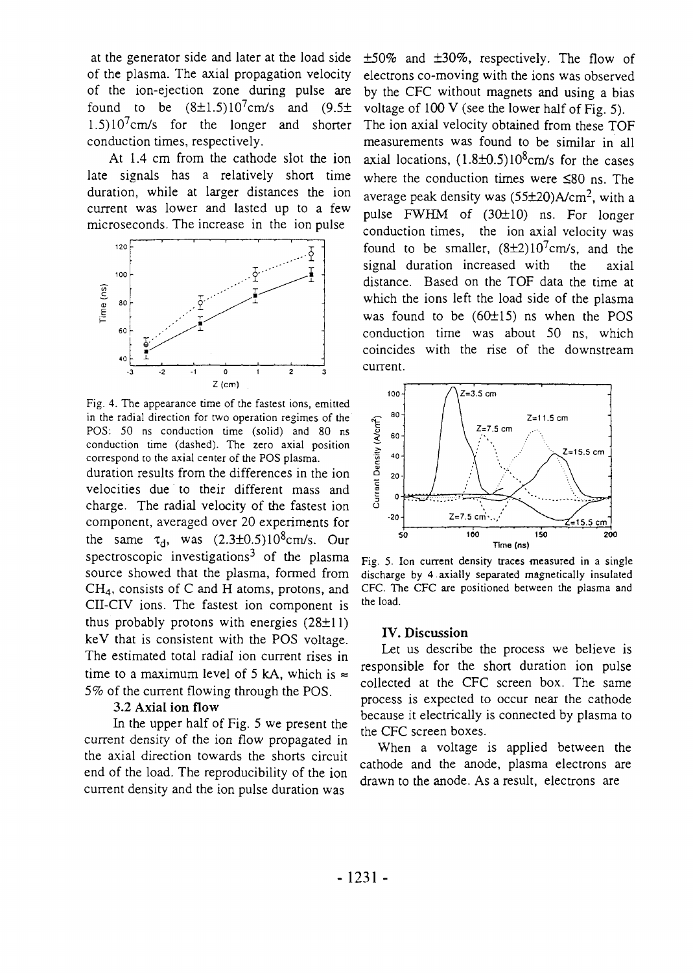at the generator side and later at the load side of the plasma. The axial propagation velocity of the ion-ejection zone during pulse are found to be  $(8\pm1.5)10^7$ cm/s and  $(9.5\pm \sqrt{2})$ 1.5)10<sup>7</sup>cm/s for the longer and shorter conduction times, respectively.

At 1.4 cm from the cathode slot the ion late signals has a relatively short time duration, while at larger distances the ion current was lower and lasted up to a few microseconds. The increase in the ion pulse



Fig. 4. The appearance time of the fastest ions, emitted in the radial direction for two operation regimes of the POS: 50 ns conduction time (solid) and 80 ns conduction time (dashed). The zero axial position correspond co the axial center of the POS plasma.

duration results from the differences in the ion velocities due to their different mass and charge. The radial velocity of the fastest ion component, averaged over 20 experiments for the same  $\tau_d$ , was  $(2.3\pm 0.5)10^8$ cm/s. Our spectroscopic investigations<sup>3</sup> of the plasma source showed that the plasma, formed from CH4, consists of C and H atoms, protons, and CII-CIV ions. The fastest ion component is thus probably protons with energies  $(28\pm11)$ keV that is consistent with the POS voltage. The estimated total radial ion current rises in time to a maximum level of 5 kA, which is  $\approx$ 5% of the current flowing through the POS.

#### 3.2 **Axial ion flow**

In the upper half of Fig. 5 we present the current density of the ion flow propagated in the axial direction towards the shorts circuit end of the load. The reproducibility of the ion current density and the ion pulse duration was

±50% and ±30%, respectively. The flow of electrons co-moving with the ions was observed by the CFC without magnets and using a bias voltage of  $100 \text{ V}$  (see the lower half of Fig. 5). The ion axial velocity obtained from these TOF measurements was found to be similar in all axial locations,  $(1.8\pm0.5)10^8$ cm/s for the cases where the conduction times were  $\leq 80$  ns. The average peak density was  $(55\pm20)$ A/cm<sup>2</sup>, with a pulse FWHM of  $(30±10)$  ns. For longer conduction times, the ion axial velocity was found to be smaller,  $(8\pm2)10^7$  cm/s, and the signal duration increased with the axial distance. Based on the TOF data the time at which the ions left the load side of the plasma was found to be (6O±15) ns when the POS conduction time was about 50 ns, which coincides with the rise of the downstream current.



Fig. 5. Ion current density traces measured in a single discharge by 4 axially separated magnetically insulated CFC. The CFC are positioned between the plasma and the load.

#### **IV. Discussion**

Let us describe the process we believe is responsible for the short duration ion pulse collected at the CFC screen box. The same process is expected to occur near the cathode because it electrically is connected by plasma to the CFC screen boxes.

When a voltage is applied between the cathode and the anode, plasma electrons are drawn to the anode. As a result, electrons are